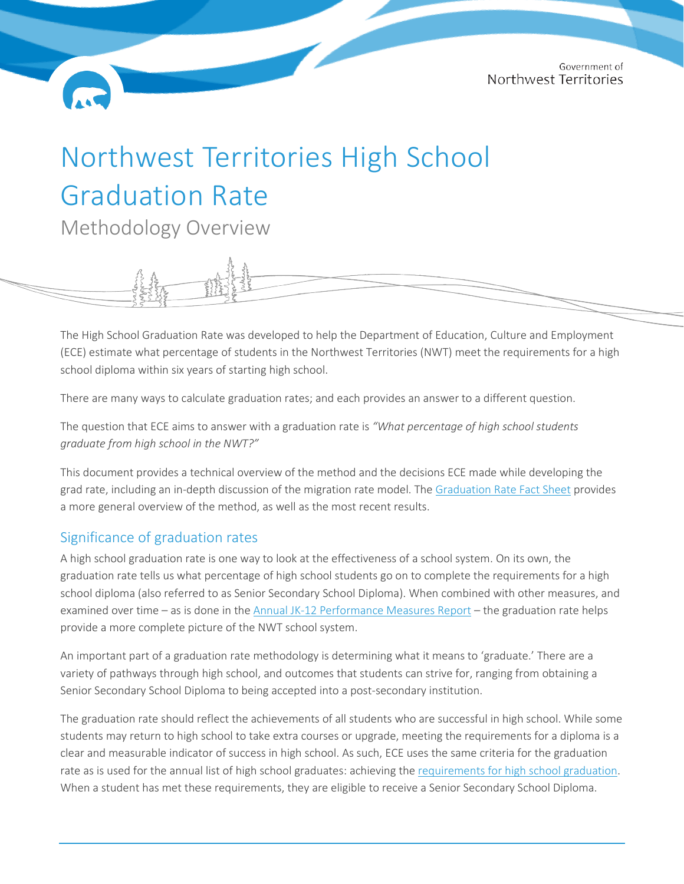# Northwest Territories High School Graduation Rate

Methodology Overview

The High School Graduation Rate was developed to help the Department of Education, Culture and Employment (ECE) estimate what percentage of students in the Northwest Territories (NWT) meet the requirements for a high school diploma within six years of starting high school.

There are many ways to calculate graduation rates; and each provides an answer to a different question.

The question that ECE aims to answer with a graduation rate is *"What percentage of high school students graduate from high school in the NWT?"*

This document provides a technical overview of the method and the decisions ECE made while developing the grad rate, including an in-depth discussion of the migration rate model. The [Graduation Rate Fact Sheet](https://www.ece.gov.nt.ca/sites/ece/files/resources/2022-02_-_jk-12_graduation_rate_fact_sheet_-_english_-_final.pdf) provides a more general overview of the method, as well as the most recent results.

### Significance of graduation rates

A high school graduation rate is one way to look at the effectiveness of a school system. On its own, the graduation rate tells us what percentage of high school students go on to complete the requirements for a high school diploma (also referred to as Senior Secondary School Diploma). When combined with other measures, and examined over time – as is done in th[e Annual JK-12 Performance Measures Report](https://www.ece.gov.nt.ca/sites/ece/files/resources/jk-12_annual_pm_report_2019-2020_en_-_final.pdf) – the graduation rate helps provide a more complete picture of the NWT school system.

An important part of a graduation rate methodology is determining what it means to 'graduate.' There are a variety of pathways through high school, and outcomes that students can strive for, ranging from obtaining a Senior Secondary School Diploma to being accepted into a post-secondary institution.

The graduation rate should reflect the achievements of all students who are successful in high school. While some students may return to high school to take extra courses or upgrade, meeting the requirements for a diploma is a clear and measurable indicator of success in high school. As such, ECE uses the same criteria for the graduation rate as is used for the annual list of high school graduates: achieving the [requirements for high school graduation.](https://www.ece.gov.nt.ca/en/services/jk-12-school-curriculum/graduation-requirements) When a student has met these requirements, they are eligible to receive a Senior Secondary School Diploma.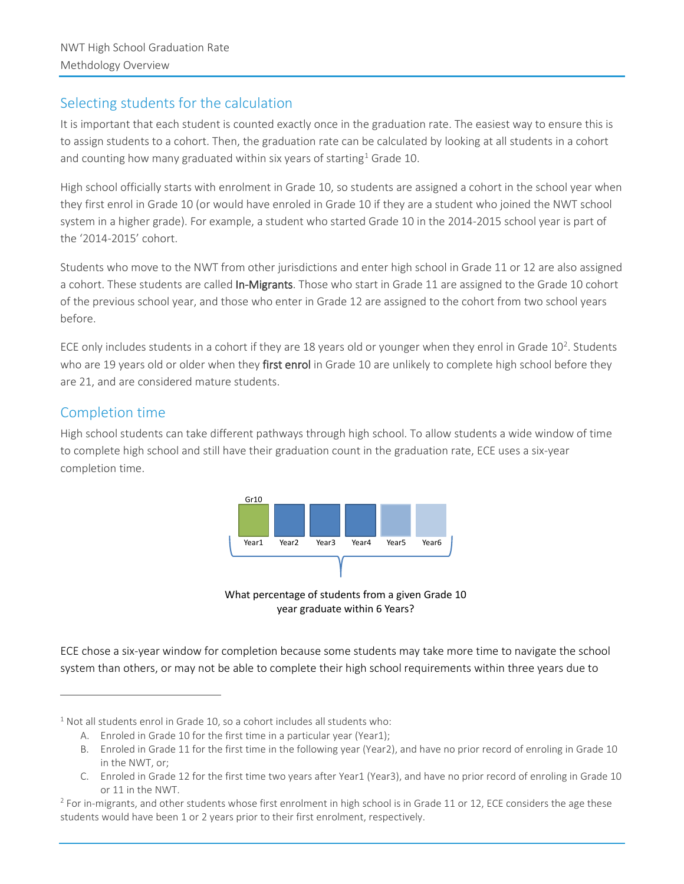### Selecting students for the calculation

It is important that each student is counted exactly once in the graduation rate. The easiest way to ensure this is to assign students to a cohort. Then, the graduation rate can be calculated by looking at all students in a cohort and counting how many graduated within six years of starting<sup>[1](#page-1-0)</sup> Grade 10.

High school officially starts with enrolment in Grade 10, so students are assigned a cohort in the school year when they first enrol in Grade 10 (or would have enroled in Grade 10 if they are a student who joined the NWT school system in a higher grade). For example, a student who started Grade 10 in the 2014-2015 school year is part of the '2014-2015' cohort.

Students who move to the NWT from other jurisdictions and enter high school in Grade 11 or 12 are also assigned a cohort. These students are called In-Migrants. Those who start in Grade 11 are assigned to the Grade 10 cohort of the previous school year, and those who enter in Grade 12 are assigned to the cohort from two school years before.

ECE only includes students in a cohort if they are 18 years old or younger when they enrol in Grade  $10^2$  $10^2$ . Students who are 19 years old or older when they first enrol in Grade 10 are unlikely to complete high school before they are 21, and are considered mature students.

## Completion time

High school students can take different pathways through high school. To allow students a wide window of time to complete high school and still have their graduation count in the graduation rate, ECE uses a six-year completion time.



What percentage of students from a given Grade 10 year graduate within 6 Years?

ECE chose a six-year window for completion because some students may take more time to navigate the school system than others, or may not be able to complete their high school requirements within three years due to

<span id="page-1-0"></span> $1$  Not all students enrol in Grade 10, so a cohort includes all students who:

A. Enroled in Grade 10 for the first time in a particular year (Year1);

B. Enroled in Grade 11 for the first time in the following year (Year2), and have no prior record of enroling in Grade 10 in the NWT, or;

C. Enroled in Grade 12 for the first time two years after Year1 (Year3), and have no prior record of enroling in Grade 10 or 11 in the NWT.

<span id="page-1-1"></span> $2$  For in-migrants, and other students whose first enrolment in high school is in Grade 11 or 12, ECE considers the age these students would have been 1 or 2 years prior to their first enrolment, respectively.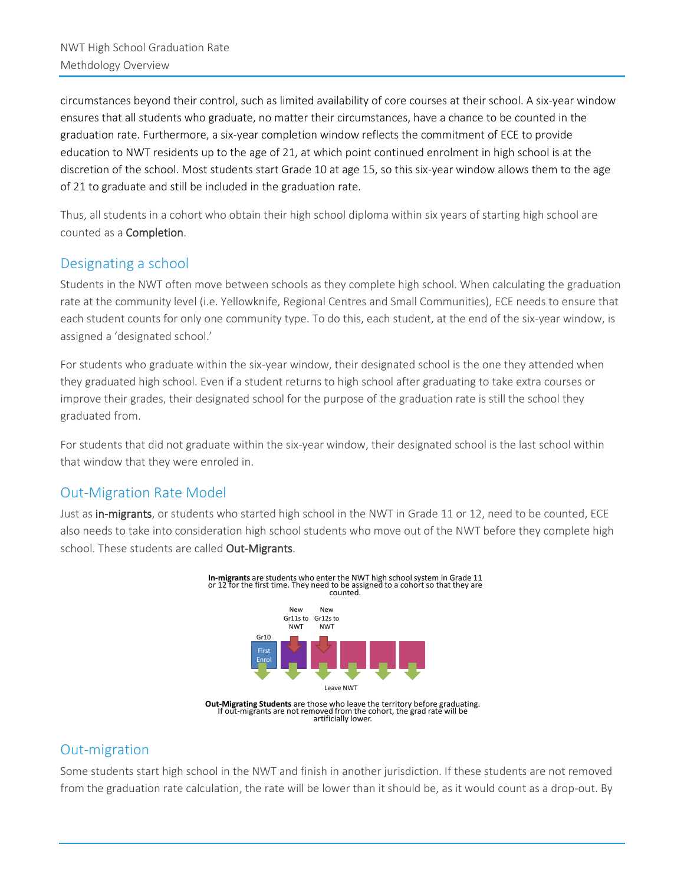circumstances beyond their control, such as limited availability of core courses at their school. A six-year window ensures that all students who graduate, no matter their circumstances, have a chance to be counted in the graduation rate. Furthermore, a six-year completion window reflects the commitment of ECE to provide education to NWT residents up to the age of 21, at which point continued enrolment in high school is at the discretion of the school. Most students start Grade 10 at age 15, so this six-year window allows them to the age of 21 to graduate and still be included in the graduation rate.

Thus, all students in a cohort who obtain their high school diploma within six years of starting high school are counted as a Completion.

## Designating a school

Students in the NWT often move between schools as they complete high school. When calculating the graduation rate at the community level (i.e. Yellowknife, Regional Centres and Small Communities), ECE needs to ensure that each student counts for only one community type. To do this, each student, at the end of the six-year window, is assigned a 'designated school.'

For students who graduate within the six-year window, their designated school is the one they attended when they graduated high school. Even if a student returns to high school after graduating to take extra courses or improve their grades, their designated school for the purpose of the graduation rate is still the school they graduated from.

For students that did not graduate within the six-year window, their designated school is the last school within that window that they were enroled in.

### Out-Migration Rate Model

Just as in-migrants, or students who started high school in the NWT in Grade 11 or 12, need to be counted, ECE also needs to take into consideration high school students who move out of the NWT before they complete high school. These students are called Out-Migrants.



# Out-migration

Some students start high school in the NWT and finish in another jurisdiction. If these students are not removed from the graduation rate calculation, the rate will be lower than it should be, as it would count as a drop-out. By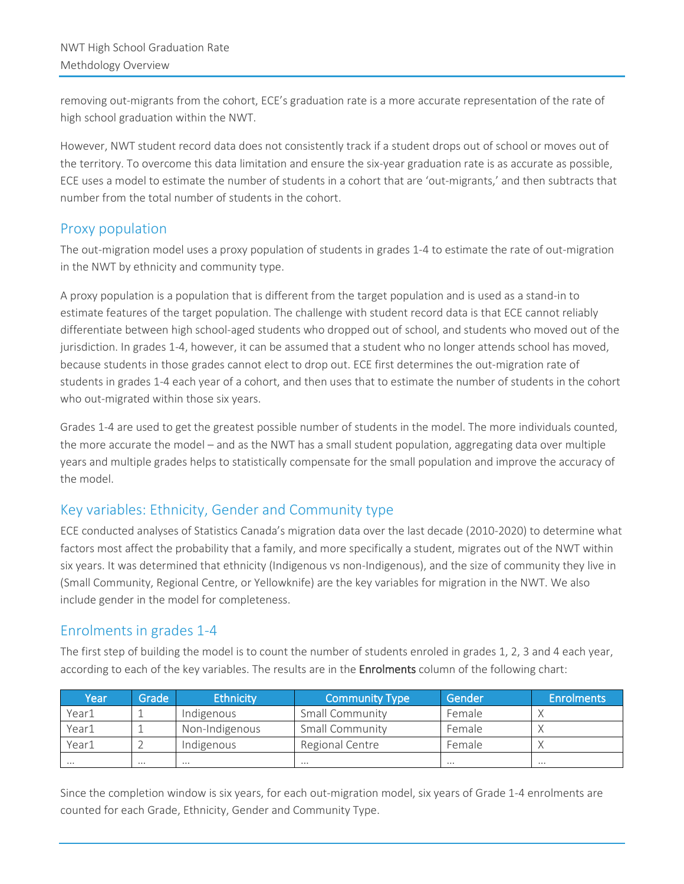removing out-migrants from the cohort, ECE's graduation rate is a more accurate representation of the rate of high school graduation within the NWT.

However, NWT student record data does not consistently track if a student drops out of school or moves out of the territory. To overcome this data limitation and ensure the six-year graduation rate is as accurate as possible, ECE uses a model to estimate the number of students in a cohort that are 'out-migrants,' and then subtracts that number from the total number of students in the cohort.

#### Proxy population

The out-migration model uses a proxy population of students in grades 1-4 to estimate the rate of out-migration in the NWT by ethnicity and community type.

A proxy population is a population that is different from the target population and is used as a stand-in to estimate features of the target population. The challenge with student record data is that ECE cannot reliably differentiate between high school-aged students who dropped out of school, and students who moved out of the jurisdiction. In grades 1-4, however, it can be assumed that a student who no longer attends school has moved, because students in those grades cannot elect to drop out. ECE first determines the out-migration rate of students in grades 1-4 each year of a cohort, and then uses that to estimate the number of students in the cohort who out-migrated within those six years.

Grades 1-4 are used to get the greatest possible number of students in the model. The more individuals counted, the more accurate the model – and as the NWT has a small student population, aggregating data over multiple years and multiple grades helps to statistically compensate for the small population and improve the accuracy of the model.

# Key variables: Ethnicity, Gender and Community type

ECE conducted analyses of Statistics Canada's migration data over the last decade (2010-2020) to determine what factors most affect the probability that a family, and more specifically a student, migrates out of the NWT within six years. It was determined that ethnicity (Indigenous vs non-Indigenous), and the size of community they live in (Small Community, Regional Centre, or Yellowknife) are the key variables for migration in the NWT. We also include gender in the model for completeness.

### Enrolments in grades 1-4

The first step of building the model is to count the number of students enroled in grades 1, 2, 3 and 4 each year, according to each of the key variables. The results are in the Enrolments column of the following chart:

| Year  | Grade    | <b>Ethnicity</b> | <b>Community Type</b>  | Gender   | <b>Enrolments</b> |
|-------|----------|------------------|------------------------|----------|-------------------|
| Year1 |          | Indigenous       | Small Community        | Female   |                   |
| Year1 |          | Non-Indigenous   | <b>Small Community</b> | Female   |                   |
| Year1 |          | Indigenous       | Regional Centre        | Female   |                   |
|       | $\cdots$ |                  | $\cdots$               | $\cdots$ | $\cdots$          |

Since the completion window is six years, for each out-migration model, six years of Grade 1-4 enrolments are counted for each Grade, Ethnicity, Gender and Community Type.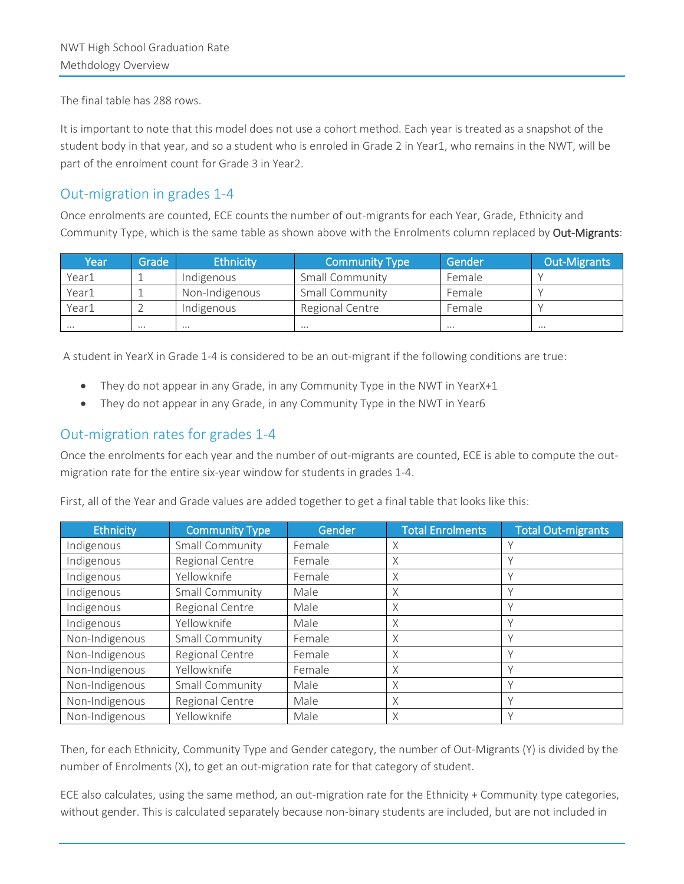The final table has 288 rows.

It is important to note that this model does not use a cohort method. Each year is treated as a snapshot of the student body in that year, and so a student who is enroled in Grade 2 in Year1, who remains in the NWT, will be part of the enrolment count for Grade 3 in Year2.

#### Out-migration in grades 1-4

Once enrolments are counted, ECE counts the number of out-migrants for each Year, Grade, Ethnicity and Community Type, which is the same table as shown above with the Enrolments column replaced by Out-Migrants:

| Year     | Grade i  | <b>Ethnicity</b> | <b>Community Type</b>  | Gender   | <b>Out-Migrants</b> |
|----------|----------|------------------|------------------------|----------|---------------------|
| Year1    |          | Indigenous       | <b>Small Community</b> | Female   |                     |
| Year1    |          | Non-Indigenous   | Small Community        | Female   |                     |
| Year1    |          | Indigenous       | Regional Centre        | Female   |                     |
| $\cdots$ | $\cdots$ | $\cdots$         | $\cdots$               | $\cdots$ | $\cdots$            |

A student in YearX in Grade 1-4 is considered to be an out-migrant if the following conditions are true:

- They do not appear in any Grade, in any Community Type in the NWT in YearX+1
- They do not appear in any Grade, in any Community Type in the NWT in Year6

#### Out-migration rates for grades 1-4

Once the enrolments for each year and the number of out-migrants are counted, ECE is able to compute the outmigration rate for the entire six-year window for students in grades 1-4.

First, all of the Year and Grade values are added together to get a final table that looks like this:

| <b>Ethnicity</b> | <b>Community Type</b> | Gender | <b>Total Enrolments</b> | <b>Total Out-migrants</b> |
|------------------|-----------------------|--------|-------------------------|---------------------------|
| Indigenous       | Small Community       | Female | X                       |                           |
| Indigenous       | Regional Centre       | Female | X                       |                           |
| Indigenous       | Yellowknife           | Female | X                       | ν                         |
| Indigenous       | Small Community       | Male   | X                       |                           |
| Indigenous       | Regional Centre       | Male   | X                       |                           |
| Indigenous       | Yellowknife           | Male   | X                       |                           |
| Non-Indigenous   | Small Community       | Female | X                       |                           |
| Non-Indigenous   | Regional Centre       | Female | X                       |                           |
| Non-Indigenous   | Yellowknife           | Female | Χ                       | $\checkmark$              |
| Non-Indigenous   | Small Community       | Male   | X                       | $\vee$                    |
| Non-Indigenous   | Regional Centre       | Male   | X                       |                           |
| Non-Indigenous   | Yellowknife           | Male   | X                       |                           |

Then, for each Ethnicity, Community Type and Gender category, the number of Out-Migrants (Y) is divided by the number of Enrolments (X), to get an out-migration rate for that category of student.

ECE also calculates, using the same method, an out-migration rate for the Ethnicity + Community type categories, without gender. This is calculated separately because non-binary students are included, but are not included in